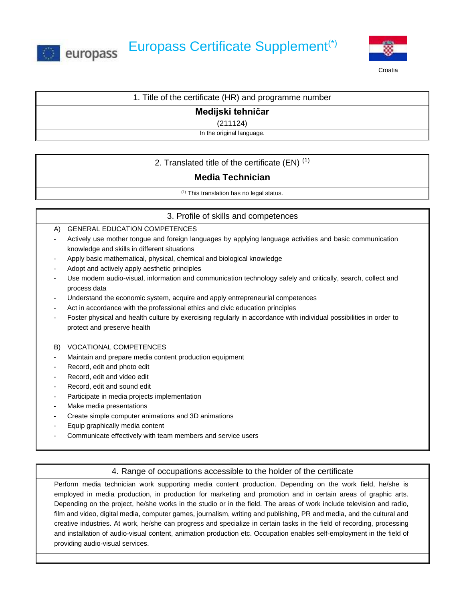



1. Title of the certificate (HR) and programme number

# **Medijski tehničar**

## (211124)

In the original language.

## 2. Translated title of the certificate (EN)  $(1)$

# **Media Technician**

(1) This translation has no legal status.

## 3. Profile of skills and competences

- A) GENERAL EDUCATION COMPETENCES
- Actively use mother tongue and foreign languages by applying language activities and basic communication knowledge and skills in different situations
- Apply basic mathematical, physical, chemical and biological knowledge
- Adopt and actively apply aesthetic principles
- Use modern audio-visual, information and communication technology safely and critically, search, collect and process data
- Understand the economic system, acquire and apply entrepreneurial competences
- Act in accordance with the professional ethics and civic education principles
- Foster physical and health culture by exercising regularly in accordance with individual possibilities in order to protect and preserve health

### B) VOCATIONAL COMPETENCES

- Maintain and prepare media content production equipment
- Record, edit and photo edit
- Record, edit and video edit
- Record, edit and sound edit
- Participate in media projects implementation
- Make media presentations
- Create simple computer animations and 3D animations
- Equip graphically media content
- Communicate effectively with team members and service users

## 4. Range of occupations accessible to the holder of the certificate

Perform media technician work supporting media content production. Depending on the work field, he/she is employed in media production, in production for marketing and promotion and in certain areas of graphic arts. Depending on the project, he/she works in the studio or in the field. The areas of work include television and radio, film and video, digital media, computer games, journalism, writing and publishing, PR and media, and the cultural and creative industries. At work, he/she can progress and specialize in certain tasks in the field of recording, processing and installation of audio-visual content, animation production etc. Occupation enables self-employment in the field of providing audio-visual services.